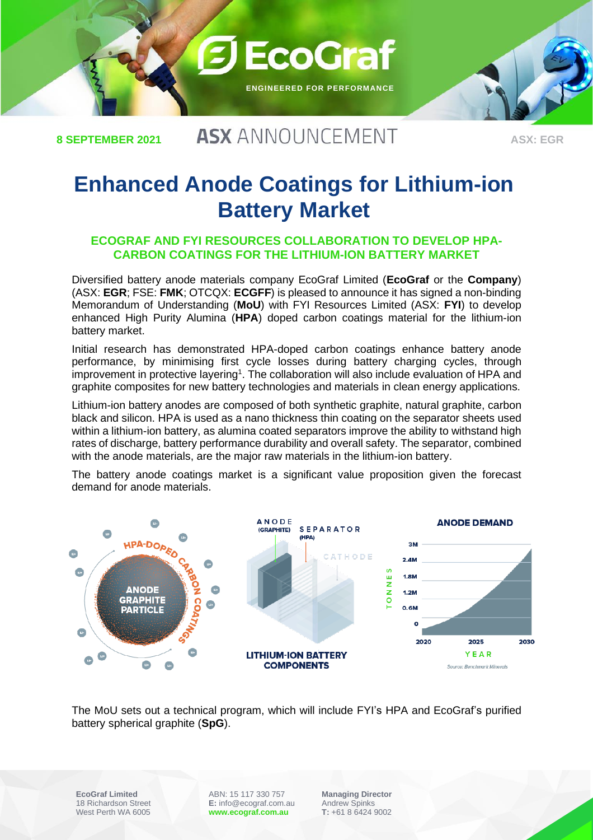

**8 SEPTEMBER 2021**

## **ASX ANNOUNCEMENT**

**ASX: EGR**

# **Enhanced Anode Coatings for Lithium-ion Battery Market**

#### **ECOGRAF AND FYI RESOURCES COLLABORATION TO DEVELOP HPA-CARBON COATINGS FOR THE LITHIUM-ION BATTERY MARKET**

Diversified battery anode materials company EcoGraf Limited (**EcoGraf** or the **Company**) (ASX: **EGR**; FSE: **FMK**; OTCQX: **ECGFF**) is pleased to announce it has signed a non-binding Memorandum of Understanding (**MoU**) with FYI Resources Limited (ASX: **FYI**) to develop enhanced High Purity Alumina (**HPA**) doped carbon coatings material for the lithium-ion battery market.

Initial research has demonstrated HPA-doped carbon coatings enhance battery anode performance, by minimising first cycle losses during battery charging cycles, through improvement in protective layering<sup>1</sup>. The collaboration will also include evaluation of HPA and graphite composites for new battery technologies and materials in clean energy applications.

Lithium-ion battery anodes are composed of both synthetic graphite, natural graphite, carbon black and silicon. HPA is used as a nano thickness thin coating on the separator sheets used within a lithium-ion battery, as alumina coated separators improve the ability to withstand high rates of discharge, battery performance durability and overall safety. The separator, combined with the anode materials, are the major raw materials in the lithium-ion battery.

The battery anode coatings market is a significant value proposition given the forecast demand for anode materials.



The MoU sets out a technical program, which will include FYI's HPA and EcoGraf's purified battery spherical graphite (**SpG**).

**EcoGraf Limited** 18 Richardson Street West Perth WA 6005

ABN: 15 117 330 757 **E:** info@ecograf.com.au **www.ecograf.com.au**

**Managing Director** Andrew Spinks **T:** +61 8 6424 9002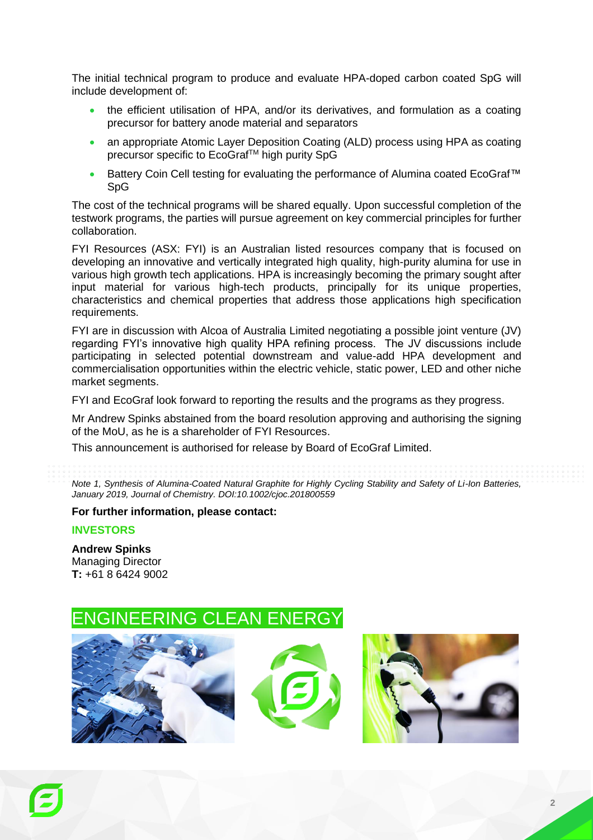The initial technical program to produce and evaluate HPA-doped carbon coated SpG will include development of:

- the efficient utilisation of HPA, and/or its derivatives, and formulation as a coating precursor for battery anode material and separators
- an appropriate Atomic Layer Deposition Coating (ALD) process using HPA as coating precursor specific to EcoGraf™ high purity SpG
- Battery Coin Cell testing for evaluating the performance of Alumina coated EcoGraf™ SpG

The cost of the technical programs will be shared equally. Upon successful completion of the testwork programs, the parties will pursue agreement on key commercial principles for further collaboration.

FYI Resources (ASX: FYI) is an Australian listed resources company that is focused on developing an innovative and vertically integrated high quality, high-purity alumina for use in various high growth tech applications. HPA is increasingly becoming the primary sought after input material for various high-tech products, principally for its unique properties, characteristics and chemical properties that address those applications high specification requirements.

FYI are in discussion with Alcoa of Australia Limited negotiating a possible joint venture (JV) regarding FYI's innovative high quality HPA refining process. The JV discussions include participating in selected potential downstream and value-add HPA development and commercialisation opportunities within the electric vehicle, static power, LED and other niche market segments.

FYI and EcoGraf look forward to reporting the results and the programs as they progress.

Mr Andrew Spinks abstained from the board resolution approving and authorising the signing of the MoU, as he is a shareholder of FYI Resources.

This announcement is authorised for release by Board of EcoGraf Limited.

*Note 1, Synthesis of Alumina-Coated Natural Graphite for Highly Cycling Stability and Safety of Li-Ion Batteries, January 2019, Journal of Chemistry. DOI:10.1002/cjoc.201800559*

#### **For further information, please contact:**

#### **INVESTORS**

**Andrew Spinks**  Managing Director **T:** +61 8 6424 9002

### ERING CLEAN ENERGY